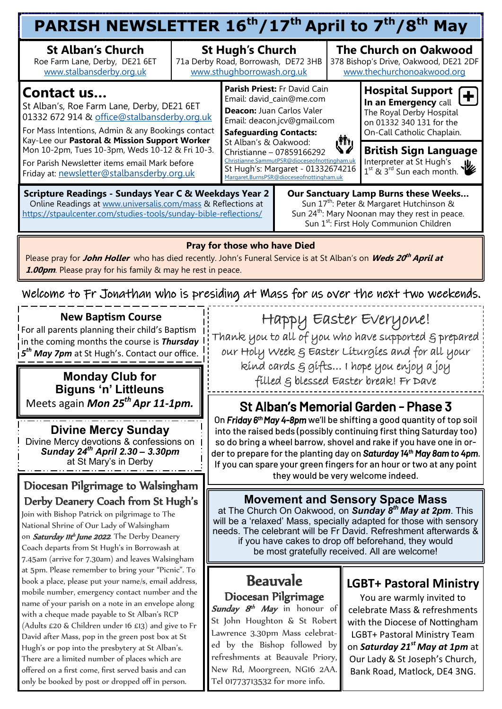#### Welcome to Fr Jonathan who is presiding at Mass for us over the next two weekends. **PARISH NEWSLETTER 16th/17th April to 7th/8th May St Alban's Church** Roe Farm Lane, Derby, DE21 6ET [www.stalbansderby.org.uk](http://www.stalbansderby.org.uk) **St Hugh's Church**  71a Derby Road, Borrowash, DE72 3HB [www.sthughborrowash.org.uk](http://www.sthughborrowash.org.uk) **The Church on Oakwood**  378 Bishop's Drive, Oakwood, DE21 2DF [www.thechurchonoakwood.org](http://www.thechurchonoakwood.org) **Parish Priest:** Fr David Cain Email: david\_cain@me.com **Deacon:** Juan Carlos Valer Email: deacon.jcv@gmail.com **Safeguarding Contacts:** St Alban's & Oakwood: Christianne – 07859166292 [Christianne.SammutPSR@dioceseofnottingham.uk](mailto:Christianne.SammutPSR@dioceseofnottingham.uk) St Hugh's: Margaret - 01332674216 [Margaret.BurnsPSR@dioceseofnottingham.uk](mailto:Margaret.BurnsPSR@dioceseofnottingham.uk) **Hospital Support In an Emergency** call The Royal Derby Hospital on 01332 340 131 for the On-Call Catholic Chaplain. **Contact us…**  St Alban's, Roe Farm Lane, Derby, DE21 6ET 01332 672 914 & [office@stalbansderby.org.uk](mailto:office@stalbansderby.org.uk) For Mass Intentions, Admin & any Bookings contact Kay-Lee our **Pastoral & Mission Support Worker**  Mon 10-2pm, Tues 10-3pm, Weds 10-12 & Fri 10-3. For Parish Newsletter items email Mark before Friday at: [newsletter@stalbansderby.org.uk](mailto:newsletter@stalbansderby.org.uk) **British Sign Language** Interpreter at St Hugh's 1<sup>st</sup> & 3<sup>rd</sup> Sun each month. **Scripture Readings - Sundays Year C & Weekdays Year 2** Online Readings at [www.universalis.com/mass](http://www.universalis.com/mass) & Reflections at <https://stpaulcenter.com/studies-tools/sunday-bible-reflections/> **Our Sanctuary Lamp Burns these Weeks…** Sun 17<sup>th</sup>: Peter & Margaret Hutchinson & Sun 24<sup>th</sup>: Mary Noonan may they rest in peace. Sun 1<sup>st</sup>: First Holy Communion Children **Pray for those who have Died** Please pray for **John Holler** who has died recently. John's Funeral Service is at St Alban's on **Weds 20 th April at 1.00pm**. Please pray for his family & may he rest in peace.

### **New Baptism Course**

For all parents planning their child's Baptism in the coming months the course is *Thursday 5 th May 7pm* at St Hugh's. Contact our office.

#### **Monday Club for Biguns 'n' Littleuns** Meets again *Mon 25th Apr 11-1pm.*

**Divine Mercy Sunday** Divine Mercy devotions & confessions on *Sunday 24th April 2.30 – 3.30pm*  at St Mary's in Derby

## Diocesan Pilgrimage to Walsingham Derby Deanery Coach from St Hugh's

Join with Bishop Patrick on pilgrimage to The National Shrine of Our Lady of Walsingham on Saturday IIth June 2022. The Derby Deanery Coach departs from St Hugh's in Borrowash at 7.45am (arrive for 7.30am) and leaves Walsingham at 5pm. Please remember to bring your "Picnic". To book a place, please put your name/s, email address, mobile number, emergency contact number and the name of your parish on a note in an envelope along with a cheque made payable to St Alban's RCP (Adults £20 & Children under 16 £13) and give to Fr David after Mass, pop in the green post box at St Hugh's or pop into the presbytery at St Alban's. There are a limited number of places which are offered on a first come, first served basis and can only be booked by post or dropped off in person.

Happy Easter Everyone! Thank you to all of you who have supported & prepared

our Holy Week & Easter Liturgies and for all your kind cards & gifts… I hope you enjoy a joy

filled & blessed Easter break! Fr Dave

# St Alban's Memorial Garden - Phase 3

On *Friday 6th May 4-8pm* we'll be shifting a good quantity of top soil into the raised beds (possibly continuing first thing Saturday too) so do bring a wheel barrow, shovel and rake if you have one in order to prepare for the planting day on *Saturday 14th May 8am to 4pm*. If you can spare your green fingers for an hour or two at any point they would be very welcome indeed.

**Movement and Sensory Space Mass**  at The Church On Oakwood, on *Sunday 8th May at 2pm*. This will be a 'relaxed' Mass, specially adapted for those with sensory needs. The celebrant will be Fr David. Refreshment afterwards & if you have cakes to drop off beforehand, they would be most gratefully received. All are welcome!

### Beauvale Diocesan Pilgrimage

Sunday 8<sup>th</sup> May in honour of St John Houghton & St Robert Lawrence 3.30pm Mass celebrated by the Bishop followed by refreshments at Beauvale Priory, New Rd, Moorgreen, NG16 2AA. Tel 01773713532 for more info.

# **LGBT+ Pastoral Ministry**

You are warmly invited to celebrate Mass & refreshments with the Diocese of Nottingham LGBT+ Pastoral Ministry Team on *Saturday 21st May at 1pm* at Our Lady & St Joseph's Church, Bank Road, Matlock, DE4 3NG.